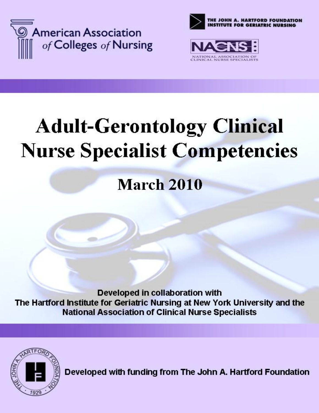





# **Adult-Gerontology Clinical Nurse Specialist Competencies**

# **March 2010**

Developed in collaboration with The Hartford Institute for Geriatric Nursing at New York University and the **National Association of Clinical Nurse Specialists** 



Developed with funding from The John A. Hartford Foundation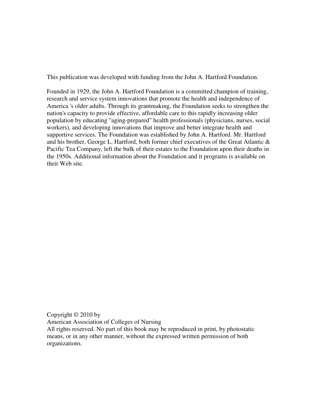This publication was developed with funding from the John A. Hartford Foundation.

Founded in 1929, the John A. Hartford Foundation is a committed champion of training, research and service system innovations that promote the health and independence of America 's older adults. Through its grantmaking, the Foundation seeks to strengthen the nation's capacity to provide effective, affordable care to this rapidly increasing older population by educating "aging-prepared" health professionals (physicians, nurses, social workers), and developing innovations that improve and better integrate health and supportive services. The Foundation was established by John A. Hartford. Mr. Hartford and his brother, George L. Hartford, both former chief executives of the Great Atlantic & Pacific Tea Company, left the bulk of their estates to the Foundation upon their deaths in the 1950s. Additional information about the Foundation and it programs is available on their Web site.

Copyright © 2010 by American Association of Colleges of Nursing All rights reserved. No part of this book may be reproduced in print, by photostatic means, or in any other manner, without the expressed written permission of both organizations.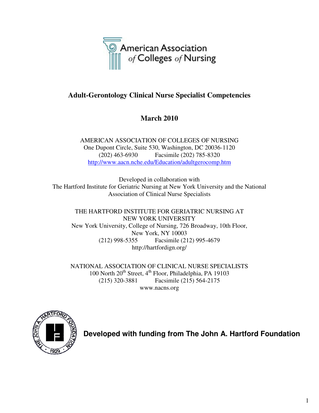

# **Adult-Gerontology Clinical Nurse Specialist Competencies**

# **March 2010**

AMERICAN ASSOCIATION OF COLLEGES OF NURSING One Dupont Circle, Suite 530, Washington, DC 20036-1120 (202) 463-6930 Facsimile (202) 785-8320 http://www.aacn.nche.edu/Education/adultgerocomp.htm

Developed in collaboration with The Hartford Institute for Geriatric Nursing at New York University and the National Association of Clinical Nurse Specialists

THE HARTFORD INSTITUTE FOR GERIATRIC NURSING AT NEW YORK UNIVERSITY New York University, College of Nursing, 726 Broadway, 10th Floor, New York, NY 10003 (212) 998-5355 Facsimile (212) 995-4679 http://hartfordign.org/

NATIONAL ASSOCIATION OF CLINICAL NURSE SPECIALISTS 100 North  $20^{th}$  Street,  $4^{th}$  Floor, Philadelphia, PA 19103 (215) 320-3881 Facsimile (215) 564-2175 www.nacns.org



**Developed with funding from The John A. Hartford Foundation**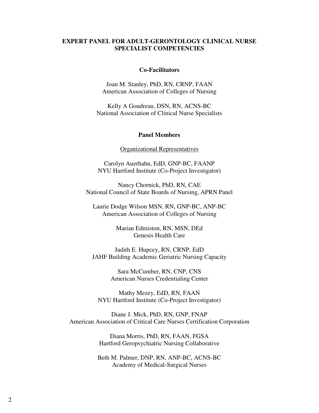#### **EXPERT PANEL FOR ADULT-GERONTOLOGY CLINICAL NURSE SPECIALIST COMPETENCIES**

#### **Co-Facilitators**

Joan M. Stanley, PhD, RN, CRNP, FAAN American Association of Colleges of Nursing

Kelly A Goudreau, DSN, RN, ACNS-BC National Association of Clinical Nurse Specialists

#### **Panel Members**

#### Organizational Representatives

Carolyn Auerhahn, EdD, GNP-BC, FAANP NYU Hartford Institute (Co-Project Investigator)

Nancy Chornick, PhD, RN, CAE National Council of State Boards of Nursing, APRN Panel

Laurie Dodge Wilson MSN, RN, GNP-BC, ANP-BC American Association of Colleges of Nursing

> Marian Edmiston, RN, MSN, DEd Genesis Health Care

Judith E. Hupcey, RN, CRNP, EdD JAHF Building Academic Geriatric Nursing Capacity

> Sara McCumber, RN, CNP, CNS American Nurses Credentialing Center

Mathy Mezey, EdD, RN, FAAN NYU Hartford Institute (Co-Project Investigator)

Diane J. Mick, PhD, RN, GNP, FNAP American Association of Critical Care Nurses Certification Corporation

> Diana Morris, PhD, RN, FAAN, FGSA Hartford Geropsychiatric Nursing Collaborative

Beth M. Palmer, DNP, RN, ANP-BC, ACNS-BC Academy of Medical-Surgical Nurses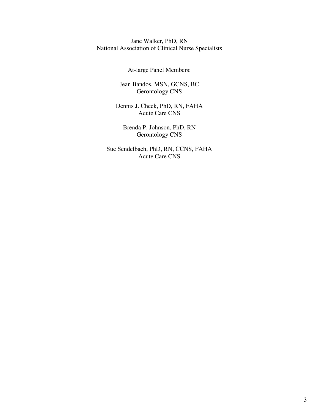Jane Walker, PhD, RN National Association of Clinical Nurse Specialists

At-large Panel Members:

Jean Bandos, MSN, GCNS, BC Gerontology CNS

Dennis J. Cheek, PhD, RN, FAHA Acute Care CNS

Brenda P. Johnson, PhD, RN Gerontology CNS

Sue Sendelbach, PhD, RN, CCNS, FAHA Acute Care CNS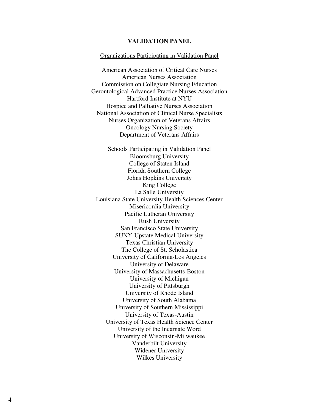#### **VALIDATION PANEL**

#### Organizations Participating in Validation Panel

American Association of Critical Care Nurses American Nurses Association Commission on Collegiate Nursing Education Gerontological Advanced Practice Nurses Association Hartford Institute at NYU Hospice and Palliative Nurses Association National Association of Clinical Nurse Specialists Nurses Organization of Veterans Affairs Oncology Nursing Society Department of Veterans Affairs

Schools Participating in Validation Panel Bloomsburg University College of Staten Island Florida Southern College Johns Hopkins University King College La Salle University Louisiana State University Health Sciences Center Misericordia University Pacific Lutheran University Rush University San Francisco State University SUNY-Upstate Medical University Texas Christian University The College of St. Scholastica University of California-Los Angeles University of Delaware University of Massachusetts-Boston University of Michigan University of Pittsburgh University of Rhode Island University of South Alabama University of Southern Mississippi University of Texas-Austin University of Texas Health Science Center University of the Incarnate Word University of Wisconsin-Milwaukee Vanderbilt University Widener University Wilkes University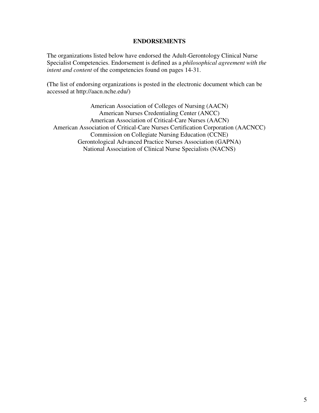#### **ENDORSEMENTS**

The organizations listed below have endorsed the Adult-Gerontology Clinical Nurse Specialist Competencies. Endorsement is defined as a *philosophical agreement with the intent and content* of the competencies found on pages 14-31.

**(**The list of endorsing organizations is posted in the electronic document which can be accessed at http://aacn.nche.edu/)

American Association of Colleges of Nursing (AACN) American Nurses Credentialing Center (ANCC) American Association of Critical-Care Nurses (AACN) American Association of Critical-Care Nurses Certification Corporation (AACNCC) Commission on Collegiate Nursing Education (CCNE) Gerontological Advanced Practice Nurses Association (GAPNA) National Association of Clinical Nurse Specialists (NACNS)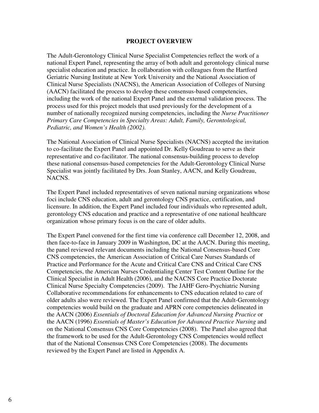#### **PROJECT OVERVIEW**

The Adult-Gerontology Clinical Nurse Specialist Competencies reflect the work of a national Expert Panel, representing the array of both adult and gerontology clinical nurse specialist education and practice. In collaboration with colleagues from the Hartford Geriatric Nursing Institute at New York University and the National Association of Clinical Nurse Specialists (NACNS), the American Association of Colleges of Nursing (AACN) facilitated the process to develop these consensus-based competencies, including the work of the national Expert Panel and the external validation process. The process used for this project models that used previously for the development of a number of nationally recognized nursing competencies, including the *Nurse Practitioner Primary Care Competencies in Specialty Areas: Adult, Family, Gerontological, Pediatric, and Women's Health (2002)*.

The National Association of Clinical Nurse Specialists (NACNS) accepted the invitation to co-facilitate the Expert Panel and appointed Dr. Kelly Goudreau to serve as their representative and co-facilitator. The national consensus-building process to develop these national consensus-based competencies for the Adult-Gerontology Clinical Nurse Specialist was jointly facilitated by Drs. Joan Stanley, AACN, and Kelly Goudreau, NACNS.

The Expert Panel included representatives of seven national nursing organizations whose foci include CNS education, adult and gerontology CNS practice, certification, and licensure. In addition, the Expert Panel included four individuals who represented adult, gerontology CNS education and practice and a representative of one national healthcare organization whose primary focus is on the care of older adults.

The Expert Panel convened for the first time via conference call December 12, 2008, and then face-to-face in January 2009 in Washington, DC at the AACN. During this meeting, the panel reviewed relevant documents including the National Consensus-based Core CNS competencies, the American Association of Critical Care Nurses Standards of Practice and Performance for the Acute and Critical Care CNS and Critical Care CNS Competencies, the American Nurses Credentialing Center Test Content Outline for the Clinical Specialist in Adult Health (2006), and the NACNS Core Practice Doctorate Clinical Nurse Specialty Competencies (2009). The JAHF Gero-Psychiatric Nursing Collaborative recommendations for enhancements to CNS education related to care of older adults also were reviewed. The Expert Panel confirmed that the Adult-Gerontology competencies would build on the graduate and APRN core competencies delineated in the AACN (2006) *Essentials of Doctoral Education for Advanced Nursing Practice* or the AACN (1996) *Essentials of Master's Education for Advanced Practice Nursing* and on the National Consensus CNS Core Competencies (2008). The Panel also agreed that the framework to be used for the Adult-Gerontology CNS Competencies would reflect that of the National Consensus CNS Core Competencies (2008). The documents reviewed by the Expert Panel are listed in Appendix A.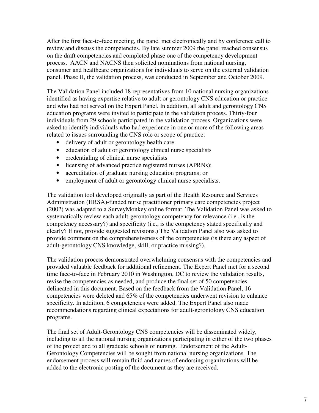After the first face-to-face meeting, the panel met electronically and by conference call to review and discuss the competencies. By late summer 2009 the panel reached consensus on the draft competencies and completed phase one of the competency development process. AACN and NACNS then solicited nominations from national nursing, consumer and healthcare organizations for individuals to serve on the external validation panel. Phase II, the validation process, was conducted in September and October 2009.

The Validation Panel included 18 representatives from 10 national nursing organizations identified as having expertise relative to adult or gerontology CNS education or practice and who had not served on the Expert Panel. In addition, all adult and gerontology CNS education programs were invited to participate in the validation process. Thirty-four individuals from 29 schools participated in the validation process. Organizations were asked to identify individuals who had experience in one or more of the following areas related to issues surrounding the CNS role or scope of practice:

- delivery of adult or gerontology health care
- education of adult or gerontology clinical nurse specialists
- credentialing of clinical nurse specialists
- licensing of advanced practice registered nurses (APRNs);
- accreditation of graduate nursing education programs; or
- employment of adult or gerontology clinical nurse specialists.

The validation tool developed originally as part of the Health Resource and Services Administration (HRSA)-funded nurse practitioner primary care competencies project (2002) was adapted to a SurveyMonkey online format. The Validation Panel was asked to systematically review each adult-gerontology competency for relevance (i.e., is the competency necessary?) and specificity (i.e., is the competency stated specifically and clearly? If not, provide suggested revisions.) The Validation Panel also was asked to provide comment on the comprehensiveness of the competencies (is there any aspect of adult-gerontology CNS knowledge, skill, or practice missing?).

The validation process demonstrated overwhelming consensus with the competencies and provided valuable feedback for additional refinement. The Expert Panel met for a second time face-to-face in February 2010 in Washington, DC to review the validation results, revise the competencies as needed, and produce the final set of 50 competencies delineated in this document. Based on the feedback from the Validation Panel, 16 competencies were deleted and 65% of the competencies underwent revision to enhance specificity. In addition, 6 competencies were added. The Expert Panel also made recommendations regarding clinical expectations for adult-gerontology CNS education programs.

The final set of Adult-Gerontology CNS competencies will be disseminated widely, including to all the national nursing organizations participating in either of the two phases of the project and to all graduate schools of nursing. Endorsement of the Adult-Gerontology Competencies will be sought from national nursing organizations. The endorsement process will remain fluid and names of endorsing organizations will be added to the electronic posting of the document as they are received.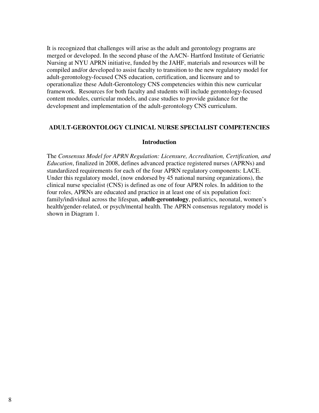It is recognized that challenges will arise as the adult and gerontology programs are merged or developed. In the second phase of the AACN- Hartford Institute of Geriatric Nursing at NYU APRN initiative, funded by the JAHF, materials and resources will be compiled and/or developed to assist faculty to transition to the new regulatory model for adult-gerontology-focused CNS education, certification, and licensure and to operationalize these Adult-Gerontology CNS competencies within this new curricular framework. Resources for both faculty and students will include gerontology-focused content modules, curricular models, and case studies to provide guidance for the development and implementation of the adult-gerontology CNS curriculum.

#### **ADULT-GERONTOLOGY CLINICAL NURSE SPECIALIST COMPETENCIES**

#### **Introduction**

The *Consensus Model for APRN Regulation: Licensure, Accreditation, Certification, and Education*, finalized in 2008, defines advanced practice registered nurses (APRNs) and standardized requirements for each of the four APRN regulatory components: LACE. Under this regulatory model, (now endorsed by 45 national nursing organizations), the clinical nurse specialist (CNS) is defined as one of four APRN roles. In addition to the four roles, APRNs are educated and practice in at least one of six population foci: family/individual across the lifespan, **adult-gerontology**, pediatrics, neonatal, women's health/gender-related, or psych/mental health. The APRN consensus regulatory model is shown in Diagram 1.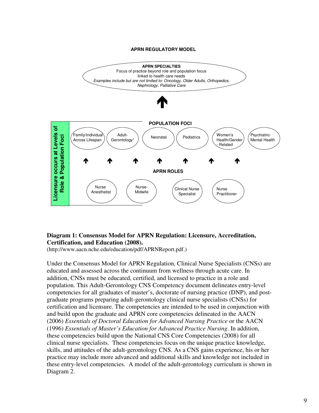#### **APRN REGULATORY MODEL**



#### **Diagram 1: Consensus Model for APRN Regulation: Licensure, Accreditation, Certification, and Education (2008).**

(http://www.aacn.nche.edu/education/pdf/APRNReport.pdf.)

Under the Consensus Model for APRN Regulation, Clinical Nurse Specialists (CNSs) are educated and assessed across the continuum from wellness through acute care. In addition, CNSs must be educated, certified, and licensed to practice in a role and population. This Adult-Gerontology CNS Competency document delineates entry-level competencies for all graduates of master's, doctorate of nursing practice (DNP), and postgraduate programs preparing adult-gerontology clinical nurse specialists (CNSs) for certification and licensure. The competencies are intended to be used in conjunction with and build upon the graduate and APRN core competencies delineated in the AACN (2006) *Essentials of Doctoral Education for Advanced Nursing Practice* or the AACN (1996) *Essentials of Master's Education for Advanced Practice Nursing*. In addition, these competencies build upon the National CNS Core Competencies (2008) for all clinical nurse specialists. These competencies focus on the unique practice knowledge, skills, and attitudes of the adult-gerontology CNS. As a CNS gains experience, his or her practice may include more advanced and additional skills and knowledge not included in these entry-level competencies. A model of the adult-gerontology curriculum is shown in Diagram 2.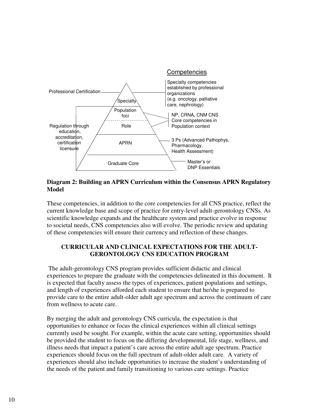

#### **Diagram 2: Building an APRN Curriculum within the Consensus APRN Regulatory Model**

These competencies, in addition to the core competencies for all CNS practice, reflect the current knowledge base and scope of practice for entry-level adult-gerontology CNSs. As scientific knowledge expands and the healthcare system and practice evolve in response to societal needs, CNS competencies also will evolve. The periodic review and updating of these competencies will ensure their currency and reflection of these changes.

## **CURRICULAR AND CLINICAL EXPECTATIONS FOR THE ADULT-GERONTOLOGY CNS EDUCATION PROGRAM**

 The adult-gerontology CNS program provides sufficient didactic and clinical experiences to prepare the graduate with the competencies delineated in this document. It is expected that faculty assess the types of experiences, patient populations and settings, and length of experiences afforded each student to ensure that he/she is prepared to provide care to the entire adult-older adult age spectrum and across the continuum of care from wellness to acute care.

By merging the adult and gerontology CNS curricula, the expectation is that opportunities to enhance or focus the clinical experiences within all clinical settings currently used be sought. For example, within the acute care setting, opportunities should be provided the student to focus on the differing developmental, life stage, wellness, and illness needs that impact a patient's care across the entire adult age spectrum. Practice experiences should focus on the full spectrum of adult-older adult care. A variety of experiences should also include opportunities to increase the student's understanding of the needs of the patient and family transitioning to various care settings. Practice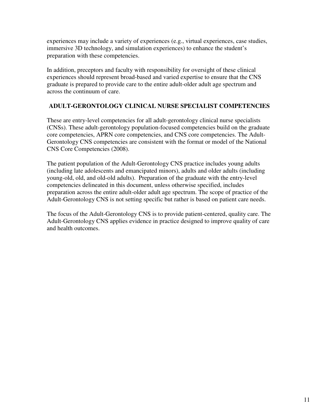experiences may include a variety of experiences (e.g., virtual experiences, case studies, immersive 3D technology, and simulation experiences) to enhance the student's preparation with these competencies.

In addition, preceptors and faculty with responsibility for oversight of these clinical experiences should represent broad-based and varied expertise to ensure that the CNS graduate is prepared to provide care to the entire adult-older adult age spectrum and across the continuum of care.

### **ADULT-GERONTOLOGY CLINICAL NURSE SPECIALIST COMPETENCIES**

These are entry-level competencies for all adult-gerontology clinical nurse specialists (CNSs). These adult-gerontology population-focused competencies build on the graduate core competencies, APRN core competencies, and CNS core competencies. The Adult-Gerontology CNS competencies are consistent with the format or model of the National CNS Core Competencies (2008).

The patient population of the Adult-Gerontology CNS practice includes young adults (including late adolescents and emancipated minors), adults and older adults (including young-old, old, and old-old adults). Preparation of the graduate with the entry-level competencies delineated in this document, unless otherwise specified, includes preparation across the entire adult-older adult age spectrum. The scope of practice of the Adult-Gerontology CNS is not setting specific but rather is based on patient care needs.

The focus of the Adult-Gerontology CNS is to provide patient-centered, quality care. The Adult-Gerontology CNS applies evidence in practice designed to improve quality of care and health outcomes.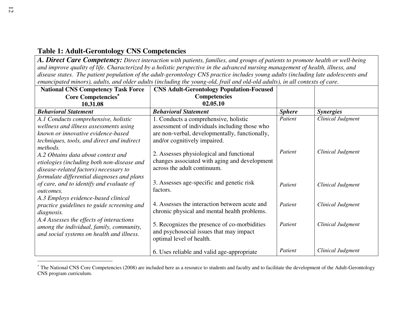# **Table 1: Adult-Gerontology CNS Competencies**

*A. Direct Care Competency: Direct interaction with patients, families, and groups of patients to promote health or well-being and improve quality of life. Characterized by a holistic perspective in the advanced nursing management of health, illness, and disease states. The patient population of the adult-gerontology CNS practice includes young adults (including late adolescents and emancipated minors), adults, and older adults (including the young-old, frail and old-old adults), in all contexts of care.*

| <b>National CNS Competency Task Force</b>  | <b>CNS Adult-Gerontology Population-Focused</b> |               |                   |
|--------------------------------------------|-------------------------------------------------|---------------|-------------------|
| <b>Core Competencies*</b>                  | <b>Competencies</b>                             |               |                   |
| 10.31.08                                   | 02.05.10                                        |               |                   |
| <b>Behavioral Statement</b>                | <b>Behavioral Statement</b>                     | <b>Sphere</b> | <i>Synergies</i>  |
| A.1 Conducts comprehensive, holistic       | 1. Conducts a comprehensive, holistic           | Patient       | Clinical Judgment |
| wellness and illness assessments using     | assessment of individuals including those who   |               |                   |
| known or innovative evidence-based         | are non-verbal, developmentally, functionally,  |               |                   |
| techniques, tools, and direct and indirect | and/or cognitively impaired.                    |               |                   |
| methods.                                   |                                                 |               |                   |
| A.2 Obtains data about context and         | 2. Assesses physiological and functional        | Patient       | Clinical Judgment |
| etiologies (including both non-disease and | changes associated with aging and development   |               |                   |
| disease-related factors) necessary to      | across the adult continuum.                     |               |                   |
| formulate differential diagnoses and plans |                                                 |               |                   |
| of care, and to identify and evaluate of   | 3. Assesses age-specific and genetic risk       | Patient       | Clinical Judgment |
| <i>outcomes.</i>                           | factors.                                        |               |                   |
| A.3 Employs evidence-based clinical        |                                                 |               |                   |
| practice guidelines to guide screening and | 4. Assesses the interaction between acute and   | Patient       | Clinical Judgment |
| diagnosis.                                 | chronic physical and mental health problems.    |               |                   |
| A.4 Assesses the effects of interactions   |                                                 |               |                   |
| among the individual, family, community,   | 5. Recognizes the presence of co-morbidities    | Patient       | Clinical Judgment |
| and social systems on health and illness.  | and psychosocial issues that may impact         |               |                   |
|                                            | optimal level of health.                        |               |                   |
|                                            |                                                 | Patient       | Clinical Judgment |
|                                            | 6. Uses reliable and valid age-appropriate      |               |                   |

<sup>∗</sup> The National CNS Core Competencies (2008) are included here as a resource to students and faculty and to facilitate the development of the Adult-Gerontology CNS program curriculum.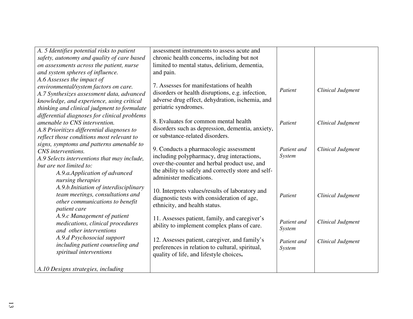| A. 5 Identifies potential risks to patient   | assessment instruments to assess acute and          |               |                   |
|----------------------------------------------|-----------------------------------------------------|---------------|-------------------|
| safety, autonomy and quality of care based   | chronic health concerns, including but not          |               |                   |
| on assessments across the patient, nurse     | limited to mental status, delirium, dementia,       |               |                   |
| and system spheres of influence.             | and pain.                                           |               |                   |
| A.6 Assesses the impact of                   |                                                     |               |                   |
| environmental/system factors on care.        | 7. Assesses for manifestations of health            | Patient       | Clinical Judgment |
| A.7 Synthesizes assessment data, advanced    | disorders or health disruptions, e.g. infection,    |               |                   |
| knowledge, and experience, using critical    | adverse drug effect, dehydration, ischemia, and     |               |                   |
| thinking and clinical judgment to formulate  | geriatric syndromes.                                |               |                   |
| differential diagnoses for clinical problems |                                                     |               |                   |
| amenable to CNS intervention.                | 8. Evaluates for common mental health               | Patient       | Clinical Judgment |
| A.8 Prioritizes differential diagnoses to    | disorders such as depression, dementia, anxiety,    |               |                   |
| reflect those conditions most relevant to    | or substance-related disorders.                     |               |                   |
| signs, symptoms and patterns amenable to     | 9. Conducts a pharmacologic assessment              | Patient and   | Clinical Judgment |
| CNS interventions.                           | including polypharmacy, drug interactions,          | <b>System</b> |                   |
| A.9 Selects interventions that may include,  | over-the-counter and herbal product use, and        |               |                   |
| but are not limited to:                      | the ability to safely and correctly store and self- |               |                   |
| A.9.a.Application of advanced                | administer medications.                             |               |                   |
| nursing therapies                            |                                                     |               |                   |
| A.9.b.Initiation of interdisciplinary        | 10. Interprets values/results of laboratory and     |               |                   |
| team meetings, consultations and             | diagnostic tests with consideration of age,         | Patient       | Clinical Judgment |
| other communications to benefit              | ethnicity, and health status.                       |               |                   |
| patient care                                 |                                                     |               |                   |
| A.9.c Management of patient                  | 11. Assesses patient, family, and caregiver's       | Patient and   | Clinical Judgment |
| medications, clinical procedures             | ability to implement complex plans of care.         | <b>System</b> |                   |
| and other interventions                      |                                                     |               |                   |
| A.9.d Psychosocial support                   | 12. Assesses patient, caregiver, and family's       | Patient and   | Clinical Judgment |
| including patient counseling and             | preferences in relation to cultural, spiritual,     | System        |                   |
| spiritual interventions                      | quality of life, and lifestyle choices.             |               |                   |
|                                              |                                                     |               |                   |
| A.10 Designs strategies, including           |                                                     |               |                   |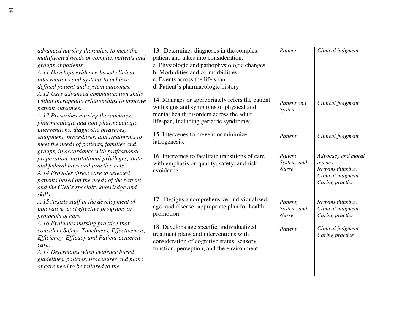| advanced nursing therapies, to meet the<br>multifaceted needs of complex patients and<br>groups of patients.<br>A.11 Develops evidence-based clinical<br>interventions and systems to achieve<br>defined patient and system outcomes.                                    | 13. Determines diagnoses in the complex<br>patient and takes into consideration:<br>a. Physiologic and pathophysiologic changes<br>b. Morbidities and co-morbidities<br>c. Events across the life span<br>d. Patient's pharmacologic history | Patient                                 | Clinical judgment                                                                           |
|--------------------------------------------------------------------------------------------------------------------------------------------------------------------------------------------------------------------------------------------------------------------------|----------------------------------------------------------------------------------------------------------------------------------------------------------------------------------------------------------------------------------------------|-----------------------------------------|---------------------------------------------------------------------------------------------|
| A.12 Uses advanced communication skills<br>within therapeutic relationships to improve<br>patient outcomes.<br>A.13 Prescribes nursing therapeutics,<br>pharmacologic and non-pharmacologic<br>interventions, diagnostic measures,                                       | 14. Manages or appropriately refers the patient<br>with signs and symptoms of physical and<br>mental health disorders across the adult<br>lifespan, including geriatric syndromes.                                                           | Patient and<br>System                   | Clinical judgment                                                                           |
| equipment, procedures, and treatments to<br>meet the needs of patients, families and                                                                                                                                                                                     | 15. Intervenes to prevent or minimize<br>iatrogenesis.                                                                                                                                                                                       | Patient                                 | Clinical judgment                                                                           |
| groups, in accordance with professional<br>preparation, institutional privileges, state<br>and federal laws and practice acts.<br>A.14 Provides direct care to selected<br>patients based on the needs of the patient<br>and the CNS's specialty knowledge and<br>skills | 16. Intervenes to facilitate transitions of care<br>with emphasis on quality, safety, and risk<br>avoidance.                                                                                                                                 | Patient.<br>System, and<br><b>Nurse</b> | Advocacy and moral<br>agency,<br>Systems thinking,<br>Clinical judgment,<br>Caring practice |
| A.15 Assists staff in the development of<br>innovative, cost effective programs or<br>protocols of care                                                                                                                                                                  | 17. Designs a comprehensive, individualized,<br>age- and disease- appropriate plan for health<br>promotion.                                                                                                                                  | Patient,<br>System, and<br><b>Nurse</b> | Systems thinking,<br>Clinical judgment,<br>Caring practice                                  |
| A.16 Evaluates nursing practice that<br>considers Safety, Timeliness, Effectiveness,<br>Efficiency, Efficacy and Patient-centered<br>care.<br>A.17 Determines when evidence based<br>guidelines, policies, procedures and plans<br>of care need to be tailored to the    | 18. Develops age specific, individualized<br>treatment plans and interventions with<br>consideration of cognitive status, sensory<br>function, perception, and the environment.                                                              | Patient                                 | Clinical judgment,<br>Caring practice                                                       |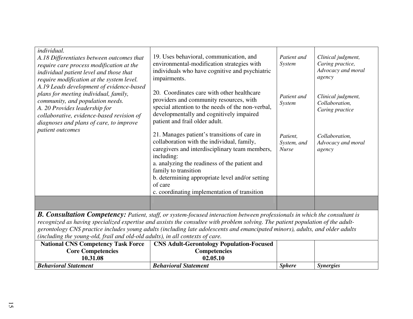| individual.<br>A.18 Differentiates between outcomes that<br>require care process modification at the<br>individual patient level and those that<br>require modification at the system level.                                                   | 19. Uses behavioral, communication, and<br>environmental-modification strategies with<br>individuals who have cognitive and psychiatric<br>impairments.                                                                                                                                                                                           | Patient and<br>System                   | Clinical judgment,<br>Caring practice,<br>Advocacy and moral<br>agency |
|------------------------------------------------------------------------------------------------------------------------------------------------------------------------------------------------------------------------------------------------|---------------------------------------------------------------------------------------------------------------------------------------------------------------------------------------------------------------------------------------------------------------------------------------------------------------------------------------------------|-----------------------------------------|------------------------------------------------------------------------|
| A.19 Leads development of evidence-based<br>plans for meeting individual, family,<br>community, and population needs.<br>A. 20 Provides leadership for<br>collaborative, evidence-based revision of<br>diagnoses and plans of care, to improve | 20. Coordinates care with other healthcare<br>providers and community resources, with<br>special attention to the needs of the non-verbal,<br>developmentally and cognitively impaired<br>patient and frail older adult.                                                                                                                          | Patient and<br>System                   | Clinical judgment,<br>Collaboration,<br>Caring practice                |
| patient outcomes                                                                                                                                                                                                                               | 21. Manages patient's transitions of care in<br>collaboration with the individual, family,<br>caregivers and interdisciplinary team members,<br>including:<br>a. analyzing the readiness of the patient and<br>family to transition<br>b. determining appropriate level and/or setting<br>of care<br>c. coordinating implementation of transition | Patient.<br>System, and<br><b>Nurse</b> | Collaboration,<br>Advocacy and moral<br>agency                         |
|                                                                                                                                                                                                                                                |                                                                                                                                                                                                                                                                                                                                                   |                                         |                                                                        |

*B. Consultation Competency: Patient, staff, or system-focused interaction between professionals in which the consultant is recognized as having specialized expertise and assists the consultee with problem solving. The patient population of the adultgerontology CNS practice includes young adults (including late adolescents and emancipated minors), adults, and older adults (including the young-old, frail and old-old adults), in all contexts of care.*

| <b>National CNS Competency Task Force</b> | <b>CNS Adult-Gerontology Population-Focused</b> |                      |                  |
|-------------------------------------------|-------------------------------------------------|----------------------|------------------|
| <b>Core Competencies</b>                  | Competencies                                    |                      |                  |
| 10.31.08                                  | 02.05.10                                        |                      |                  |
| <b>Behavioral Statement</b>               | <b>Behavioral Statement</b>                     | <i><b>Sphere</b></i> | <i>Synergies</i> |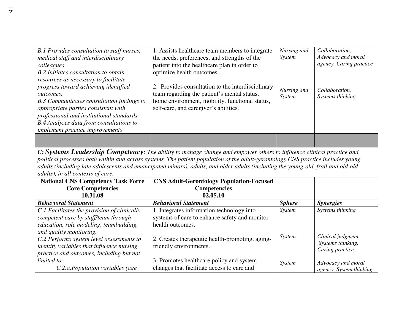| B.1 Provides consultation to staff nurses,<br>medical staff and interdisciplinary<br>colleagues<br>B.2 Initiates consultation to obtain<br>resources as necessary to facilitate                                                                                   | 1. Assists healthcare team members to integrate<br>the needs, preferences, and strengths of the<br>patient into the healthcare plan in order to<br>optimize health outcomes.                | Nursing and<br>System | Collaboration,<br>Advocacy and moral<br>agency, Caring practice |
|-------------------------------------------------------------------------------------------------------------------------------------------------------------------------------------------------------------------------------------------------------------------|---------------------------------------------------------------------------------------------------------------------------------------------------------------------------------------------|-----------------------|-----------------------------------------------------------------|
| progress toward achieving identified<br>outcomes.<br>B.3 Communicates consultation findings to<br>appropriate parties consistent with<br>professional and institutional standards.<br>B.4 Analyzes data from consultations to<br>implement practice improvements. | 2. Provides consultation to the interdisciplinary<br>team regarding the patient's mental status,<br>home environment, mobility, functional status,<br>self-care, and caregiver's abilities. | Nursing and<br>System | Collaboration,<br>Systems thinking                              |
|                                                                                                                                                                                                                                                                   |                                                                                                                                                                                             |                       |                                                                 |

*C: Systems Leadership Competency: The ability to manage change and empower others to influence clinical practice and political processes both within and across systems. The patient population of the adult-gerontology CNS practice includes young adults (including late adolescents and emancipated minors), adults, and older adults (including the young-old, frail and old-old adults), in all contexts of care.*

| <b>National CNS Competency Task Force</b>                                                                                                                           | <b>CNS Adult-Gerontology Population-Focused</b>                                            |               |                                                            |
|---------------------------------------------------------------------------------------------------------------------------------------------------------------------|--------------------------------------------------------------------------------------------|---------------|------------------------------------------------------------|
| <b>Core Competencies</b>                                                                                                                                            | <b>Competencies</b>                                                                        |               |                                                            |
| 10.31.08                                                                                                                                                            | 02.05.10                                                                                   |               |                                                            |
| <b>Behavioral Statement</b>                                                                                                                                         | <b>Behavioral Statement</b>                                                                | <b>Sphere</b> | <i><b>Synergies</b></i>                                    |
| C.1 Facilitates the provision of clinically<br>competent care by staff/team through                                                                                 | 1. Integrates information technology into<br>systems of care to enhance safety and monitor | System        | Systems thinking                                           |
| education, role modeling, teambuilding,                                                                                                                             | health outcomes.                                                                           |               |                                                            |
| and quality monitoring.<br>C.2 Performs system level assessments to<br><i>identify variables that influence nursing</i><br>practice and outcomes, including but not | 2. Creates therapeutic health-promoting, aging-<br>friendly environments.                  | System        | Clinical judgment,<br>Systems thinking,<br>Caring practice |
| limited to:<br>C.2.a.Population variables (age                                                                                                                      | 3. Promotes healthcare policy and system<br>changes that facilitate access to care and     | System        | Advocacy and moral<br>agency, System thinking              |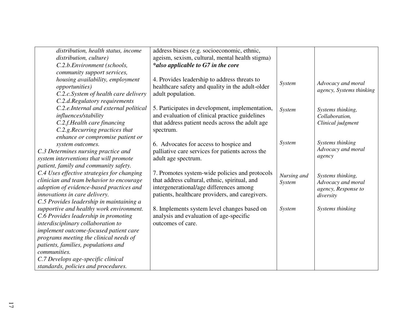| distribution, health status, income        | address biases (e.g. socioeconomic, ethnic,      |               |                          |
|--------------------------------------------|--------------------------------------------------|---------------|--------------------------|
| distribution, culture)                     | ageism, sexism, cultural, mental health stigma)  |               |                          |
| C.2.b. Environment (schools,               | *also applicable to G7 in the core               |               |                          |
| community support services,                |                                                  |               |                          |
| housing availability, employment           | 4. Provides leadership to address threats to     |               |                          |
| <i>opportunities</i> )                     | healthcare safety and quality in the adult-older | System        | Advocacy and moral       |
| C.2.c. System of health care delivery      | adult population.                                |               | agency, Systems thinking |
| C.2.d.Regulatory requirements              |                                                  |               |                          |
| C.2.e.Internal and external political      | 5. Participates in development, implementation,  | System        | Systems thinking,        |
| influences/stability                       | and evaluation of clinical practice guidelines   |               | Collaboration,           |
| C.2.f.Health care financing                | that address patient needs across the adult age  |               | Clinical judgment        |
| C.2.g. Recurring practices that            | spectrum.                                        |               |                          |
| enhance or compromise patient or           |                                                  |               |                          |
| system outcomes.                           | 6. Advocates for access to hospice and           | System        | Systems thinking         |
| C.3 Determines nursing practice and        | palliative care services for patients across the |               | Advocacy and moral       |
| system interventions that will promote     | adult age spectrum.                              |               | agency                   |
| patient, family and community safety.      |                                                  |               |                          |
| C.4 Uses effective strategies for changing | 7. Promotes system-wide policies and protocols   | Nursing and   | Systems thinking,        |
| clinician and team behavior to encourage   | that address cultural, ethnic, spiritual, and    | System        | Advocacy and moral       |
| adoption of evidence-based practices and   | intergenerational/age differences among          |               | agency, Response to      |
| innovations in care delivery.              | patients, healthcare providers, and caregivers.  |               | diversity                |
| C.5 Provides leadership in maintaining a   |                                                  |               |                          |
| supportive and healthy work environment.   | 8. Implements system level changes based on      | <b>System</b> | Systems thinking         |
| C.6 Provides leadership in promoting       | analysis and evaluation of age-specific          |               |                          |
| interdisciplinary collaboration to         | outcomes of care.                                |               |                          |
| implement outcome-focused patient care     |                                                  |               |                          |
| programs meeting the clinical needs of     |                                                  |               |                          |
| patients, families, populations and        |                                                  |               |                          |
| communities.                               |                                                  |               |                          |
| C.7 Develops age-specific clinical         |                                                  |               |                          |
| standards, policies and procedures.        |                                                  |               |                          |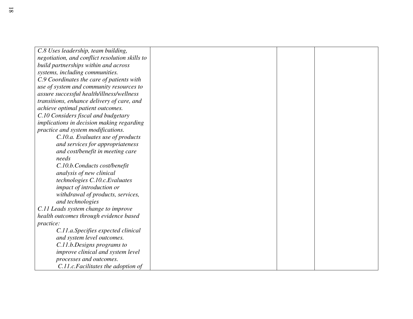| C.8 Uses leadership, team building,            |  |  |
|------------------------------------------------|--|--|
| negotiation, and conflict resolution skills to |  |  |
| build partnerships within and across           |  |  |
| systems, including communities.                |  |  |
| C.9 Coordinates the care of patients with      |  |  |
| use of system and community resources to       |  |  |
| assure successful health/illness/wellness      |  |  |
| transitions, enhance delivery of care, and     |  |  |
| achieve optimal patient outcomes.              |  |  |
| C.10 Considers fiscal and budgetary            |  |  |
| implications in decision making regarding      |  |  |
| practice and system modifications.             |  |  |
| C.10.a. Evaluates use of products              |  |  |
| and services for appropriateness               |  |  |
| and cost/benefit in meeting care               |  |  |
| needs                                          |  |  |
| C.10.b.Conducts cost/benefit                   |  |  |
| analysis of new clinical                       |  |  |
| technologies C.10.c. Evaluates                 |  |  |
| impact of introduction or                      |  |  |
| withdrawal of products, services,              |  |  |
| and technologies                               |  |  |
| C.11 Leads system change to improve            |  |  |
| health outcomes through evidence based         |  |  |
| practice:                                      |  |  |
| C.11.a.Specifies expected clinical             |  |  |
| and system level outcomes.                     |  |  |
| C.11.b.Designs programs to                     |  |  |
| improve clinical and system level              |  |  |
| processes and outcomes.                        |  |  |
| C.11.c. Facilitates the adoption of            |  |  |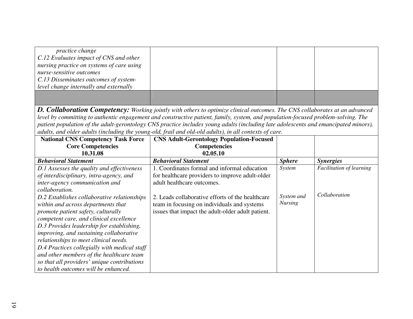| <i>practice change</i>                    |  |  |
|-------------------------------------------|--|--|
| C.12 Evaluates impact of CNS and other    |  |  |
| nursing practice on systems of care using |  |  |
| nurse-sensitive outcomes                  |  |  |
| C.13 Disseminates outcomes of system-     |  |  |
| level change internally and externally    |  |  |
|                                           |  |  |
|                                           |  |  |

*D. Collaboration Competency: Working jointly with others to optimize clinical outcomes. The CNS collaborates at an advanced level by committing to authentic engagement and constructive patient, family, system, and population-focused problem-solving. The patient population of the adult-gerontology CNS practice includes young adults (including late adolescents and emancipated minors), adults, and older adults (including the young-old, frail and old-old adults), in all contexts of care.*

| <b>National CNS Competency Task Force</b>      | <b>CNS Adult-Gerontology Population-Focused</b>   |                |                                 |
|------------------------------------------------|---------------------------------------------------|----------------|---------------------------------|
| <b>Core Competencies</b>                       | <b>Competencies</b>                               |                |                                 |
| 10.31.08                                       | 02.05.10                                          |                |                                 |
| <b>Behavioral Statement</b>                    | <b>Behavioral Statement</b>                       | <b>Sphere</b>  | <i>Synergies</i>                |
| D.1 Assesses the quality and effectiveness     | 1. Coordinates formal and informal education      | System         | <b>Facilitation of learning</b> |
| of interdisciplinary, intra-agency, and        | for healthcare providers to improve adult-older   |                |                                 |
| inter-agency communication and                 | adult healthcare outcomes.                        |                |                                 |
| collaboration.                                 |                                                   |                |                                 |
| D.2 Establishes collaborative relationships    | 2. Leads collaborative efforts of the healthcare  | System and     | Collaboration                   |
| within and across departments that             | team in focusing on individuals and systems       | <b>Nursing</b> |                                 |
| promote patient safety, culturally             | issues that impact the adult-older adult patient. |                |                                 |
| competent care, and clinical excellence        |                                                   |                |                                 |
| D.3 Provides leadership for establishing,      |                                                   |                |                                 |
| <i>improving, and sustaining collaborative</i> |                                                   |                |                                 |
| relationships to meet clinical needs.          |                                                   |                |                                 |
| D.4 Practices collegially with medical staff   |                                                   |                |                                 |
| and other members of the healthcare team       |                                                   |                |                                 |
| so that all providers' unique contributions    |                                                   |                |                                 |
| to health outcomes will be enhanced.           |                                                   |                |                                 |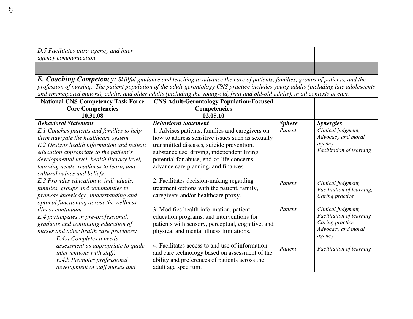| $\vert$ D.5 Facilitates intra-agency and inter-<br><i>agency communication.</i> |  |  |
|---------------------------------------------------------------------------------|--|--|
|                                                                                 |  |  |

*E. Coaching Competency: Skillful guidance and teaching to advance the care of patients, families, groups of patients, and the profession of nursing. The patient population of the adult-gerontology CNS practice includes young adults (including late adolescents and emancipated minors), adults, and older adults (including the young-old, frail and old-old adults), in all contexts of care.*

| <b>National CNS Competency Task Force</b>                                                                                                                                                                                                                           | <b>CNS Adult-Gerontology Population-Focused</b>                                                                                                                                                                                                                                       |               |                                                                                                          |
|---------------------------------------------------------------------------------------------------------------------------------------------------------------------------------------------------------------------------------------------------------------------|---------------------------------------------------------------------------------------------------------------------------------------------------------------------------------------------------------------------------------------------------------------------------------------|---------------|----------------------------------------------------------------------------------------------------------|
| <b>Core Competencies</b>                                                                                                                                                                                                                                            | <b>Competencies</b>                                                                                                                                                                                                                                                                   |               |                                                                                                          |
| 10.31.08                                                                                                                                                                                                                                                            | 02.05.10                                                                                                                                                                                                                                                                              |               |                                                                                                          |
| <b>Behavioral Statement</b>                                                                                                                                                                                                                                         | <b>Behavioral Statement</b>                                                                                                                                                                                                                                                           | <b>Sphere</b> | <b>Synergies</b>                                                                                         |
| E.1 Coaches patients and families to help<br>them navigate the healthcare system.<br>E.2 Designs health information and patient<br>education appropriate to the patient's<br>developmental level, health literacy level,<br>learning needs, readiness to learn, and | 1. Advises patients, families and caregivers on<br>how to address sensitive issues such as sexually<br>transmitted diseases, suicide prevention,<br>substance use, driving, independent living,<br>potential for abuse, end-of-life concerns,<br>advance care planning, and finances. | Patient       | Clinical judgment,<br>Advocacy and moral<br>agency<br>Facilitation of learning                           |
| cultural values and beliefs.<br>E.3 Provides education to individuals,<br>families, groups and communities to<br>promote knowledge, understanding and<br>optimal functioning across the wellness-                                                                   | 2. Facilitates decision-making regarding<br>treatment options with the patient, family,<br>caregivers and/or healthcare proxy.                                                                                                                                                        | Patient       | Clinical judgment,<br>Facilitation of learning,<br>Caring practice                                       |
| illness continuum.<br>E.4 participates in pre-professional,<br>graduate and continuing education of<br>nurses and other health care providers:<br>E.4.a.Completes a needs                                                                                           | 3. Modifies health information, patient<br>education programs, and interventions for<br>patients with sensory, perceptual, cognitive, and<br>physical and mental illness limitations.                                                                                                 | Patient       | Clinical judgment,<br><b>Facilitation of learning</b><br>Caring practice<br>Advocacy and moral<br>agency |
| assessment as appropriate to guide<br>interventions with staff;<br>E.4.b.Promotes professional<br>development of staff nurses and                                                                                                                                   | 4. Facilitates access to and use of information<br>and care technology based on assessment of the<br>ability and preferences of patients across the<br>adult age spectrum.                                                                                                            | Patient       | <b>Facilitation of learning</b>                                                                          |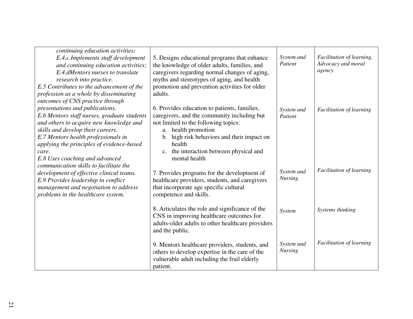| continuing education activities;<br>E.4.c.Implements staff development<br>and continuing education activities;<br>E.4.dMentors nurses to translate<br>research into practice.<br>E.5 Contributes to the advancement of the<br>profession as a whole by disseminating                                                              | 5. Designs educational programs that enhance<br>the knowledge of older adults, families, and<br>caregivers regarding normal changes of aging,<br>myths and stereotypes of aging, and health<br>promotion and prevention activities for older<br>adults.                                          | System and<br>Patient        | Facilitation of learning,<br>Advocacy and moral<br>agency |
|-----------------------------------------------------------------------------------------------------------------------------------------------------------------------------------------------------------------------------------------------------------------------------------------------------------------------------------|--------------------------------------------------------------------------------------------------------------------------------------------------------------------------------------------------------------------------------------------------------------------------------------------------|------------------------------|-----------------------------------------------------------|
| outcomes of CNS practice through<br>presentations and publications.<br>E.6 Mentors staff nurses, graduate students<br>and others to acquire new knowledge and<br>skills and develop their careers.<br>E.7 Mentors health professionals in<br>applying the principles of evidence-based<br>care.<br>E.8 Uses coaching and advanced | 6. Provides education to patients, families,<br>caregivers, and the community including but<br>not limited to the following topics:<br>health promotion<br>a.<br>high risk behaviors and their impact on<br>$\mathbf{b}$ .<br>health<br>c. the interaction between physical and<br>mental health | System and<br>Patient        | <b>Facilitation of learning</b>                           |
| communication skills to facilitate the<br>development of effective clinical teams.<br>E.9 Provides leadership in conflict<br>management and negotiation to address<br>problems in the healthcare system.                                                                                                                          | 7. Provides programs for the development of<br>healthcare providers, students, and caregivers<br>that incorporate age specific cultural<br>competence and skills.                                                                                                                                | System and<br><b>Nursing</b> | <b>Facilitation of learning</b>                           |
|                                                                                                                                                                                                                                                                                                                                   | 8. Articulates the role and significance of the<br>CNS in improving healthcare outcomes for<br>adults-older adults to other healthcare providers<br>and the public.                                                                                                                              | System                       | Systems thinking                                          |
|                                                                                                                                                                                                                                                                                                                                   | 9. Mentors healthcare providers, students, and<br>others to develop expertise in the care of the<br>vulnerable adult including the frail elderly<br>patient.                                                                                                                                     | System and<br><b>Nursing</b> | <b>Facilitation of learning</b>                           |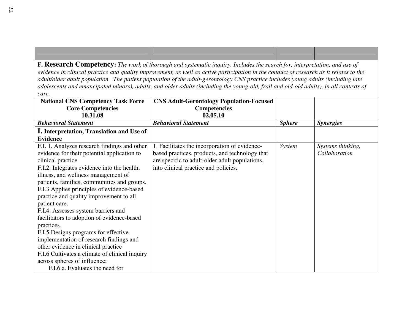**F. Research Competency:** *The work of thorough and systematic inquiry. Includes the search for, interpretation, and use of evidence in clinical practice and quality improvement, as well as active participation in the conduct of research as it relates to the adult/older adult population. The patient population of the adult-gerontology CNS practice includes young adults (including late adolescents and emancipated minors), adults, and older adults (including the young-old, frail and old-old adults), in all contexts of care.*

| <b>National CNS Competency Task Force</b>      | <b>CNS Adult-Gerontology Population-Focused</b> |               |                   |
|------------------------------------------------|-------------------------------------------------|---------------|-------------------|
| <b>Core Competencies</b>                       | <b>Competencies</b>                             |               |                   |
| 10.31.08                                       | 02.05.10                                        |               |                   |
| <b>Behavioral Statement</b>                    | <b>Behavioral Statement</b>                     | <b>Sphere</b> | <b>Synergies</b>  |
| I. Interpretation, Translation and Use of      |                                                 |               |                   |
| <b>Evidence</b>                                |                                                 |               |                   |
| F.I. 1. Analyzes research findings and other   | 1. Facilitates the incorporation of evidence-   | System        | Systems thinking, |
| evidence for their potential application to    | based practices, products, and technology that  |               | Collaboration     |
| clinical practice                              | are specific to adult-older adult populations,  |               |                   |
| F.I.2. Integrates evidence into the health,    | into clinical practice and policies.            |               |                   |
| illness, and wellness management of            |                                                 |               |                   |
| patients, families, communities and groups.    |                                                 |               |                   |
| F.I.3 Applies principles of evidence-based     |                                                 |               |                   |
| practice and quality improvement to all        |                                                 |               |                   |
| patient care.                                  |                                                 |               |                   |
| F.I.4. Assesses system barriers and            |                                                 |               |                   |
| facilitators to adoption of evidence-based     |                                                 |               |                   |
| practices.                                     |                                                 |               |                   |
| F.I.5 Designs programs for effective           |                                                 |               |                   |
| implementation of research findings and        |                                                 |               |                   |
| other evidence in clinical practice            |                                                 |               |                   |
| F.I.6 Cultivates a climate of clinical inquiry |                                                 |               |                   |
| across spheres of influence:                   |                                                 |               |                   |
| F.I.6.a. Evaluates the need for                |                                                 |               |                   |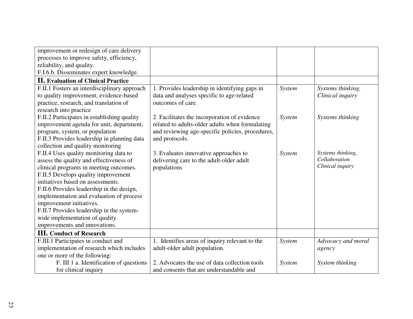| improvement or redesign of care delivery     |                                                  |        |                    |
|----------------------------------------------|--------------------------------------------------|--------|--------------------|
| processes to improve safety, efficiency,     |                                                  |        |                    |
| reliability, and quality.                    |                                                  |        |                    |
| F.I.6.b. Disseminates expert knowledge.      |                                                  |        |                    |
| <b>II.</b> Evaluation of Clinical Practice   |                                                  |        |                    |
| F.II.1 Fosters an interdisciplinary approach | 1. Provides leadership in identifying gaps in    | System | Systems thinking,  |
| to quality improvement, evidence-based       | data and analyses specific to age-related        |        | Clinical inquiry   |
| practice, research, and translation of       | outcomes of care.                                |        |                    |
| research into practice                       |                                                  |        |                    |
| F.II.2 Participates in establishing quality  | 2. Facilitates the incorporation of evidence     | System | Systems thinking   |
| improvement agenda for unit, department,     | related to adults-older adults when formulating  |        |                    |
| program, system, or population               | and reviewing age-specific policies, procedures, |        |                    |
| F.II.3 Provides leadership in planning data  | and protocols.                                   |        |                    |
| collection and quality monitoring            |                                                  |        |                    |
| F.II.4 Uses quality monitoring data to       | 3. Evaluates innovative approaches to            | System | Systems thinking,  |
| assess the quality and effectiveness of      | delivering care to the adult-older adult         |        | Collaboration      |
| clinical programs in meeting outcomes.       | populations                                      |        | Clinical inquiry   |
| F.II.5 Develops quality improvement          |                                                  |        |                    |
| initiatives based on assessments.            |                                                  |        |                    |
| F.II.6 Provides leadership in the design,    |                                                  |        |                    |
| implementation and evaluation of process     |                                                  |        |                    |
| improvement initiatives.                     |                                                  |        |                    |
| F.II.7 Provides leadership in the system-    |                                                  |        |                    |
| wide implementation of quality               |                                                  |        |                    |
| improvements and innovations.                |                                                  |        |                    |
| <b>III.</b> Conduct of Research              |                                                  |        |                    |
| F.III.1 Participates in conduct and          | 1. Identifies areas of inquiry relevant to the   | System | Advocacy and moral |
| implementation of research which includes    | adult-older adult population.                    |        | agency             |
| one or more of the following:                |                                                  |        |                    |
| F. III 1 a. Identification of questions      | 2. Advocates the use of data collection tools    | System | System thinking    |
| for clinical inquiry                         | and consents that are understandable and         |        |                    |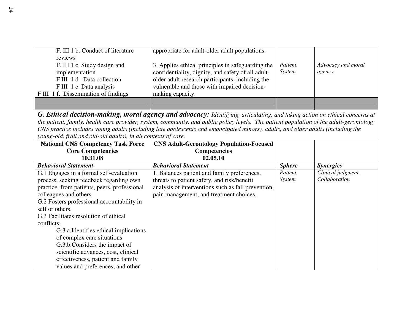| F. III 1 b. Conduct of literature   | appropriate for adult-older adult populations.     |          |                    |
|-------------------------------------|----------------------------------------------------|----------|--------------------|
| reviews                             |                                                    |          |                    |
| F. III 1 c Study design and         | 3. Applies ethical principles in safeguarding the  | Patient, | Advocacy and moral |
| implementation                      | confidentiality, dignity, and safety of all adult- | System   | agency             |
| FIII 1 d Data collection            | older adult research participants, including the   |          |                    |
| FIII 1 e Data analysis              | vulnerable and those with impaired decision-       |          |                    |
| FIII 1 f. Dissemination of findings | making capacity.                                   |          |                    |
|                                     |                                                    |          |                    |

*G. Ethical decision-making, moral agency and advocacy: Identifying, articulating, and taking action on ethical concerns at the patient, family, health care provider, system, community, and public policy levels. The patient population of the adult-gerontology CNS practice includes young adults (including late adolescents and emancipated minors), adults, and older adults (including the young-old, frail and old-old adults), in all contexts of care.*

| <b>National CNS Competency Task Force</b>    | <b>CNS Adult-Gerontology Population-Focused</b>    |               |                    |
|----------------------------------------------|----------------------------------------------------|---------------|--------------------|
| <b>Core Competencies</b>                     | <b>Competencies</b>                                |               |                    |
| 10.31.08                                     | 02.05.10                                           |               |                    |
| <b>Behavioral Statement</b>                  | <b>Behavioral Statement</b>                        | <b>Sphere</b> | <b>Synergies</b>   |
| G.1 Engages in a formal self-evaluation      | 1. Balances patient and family preferences,        | Patient,      | Clinical judgment, |
| process, seeking feedback regarding own      | threats to patient safety, and risk/benefit        | System        | Collaboration      |
| practice, from patients, peers, professional | analysis of interventions such as fall prevention, |               |                    |
| colleagues and others                        | pain management, and treatment choices.            |               |                    |
| G.2 Fosters professional accountability in   |                                                    |               |                    |
| self or others.                              |                                                    |               |                    |
| G.3 Facilitates resolution of ethical        |                                                    |               |                    |
| conflicts:                                   |                                                    |               |                    |
| G.3.a. Identifies ethical implications       |                                                    |               |                    |
| of complex care situations                   |                                                    |               |                    |
| G.3.b.Considers the impact of                |                                                    |               |                    |
| scientific advances, cost, clinical          |                                                    |               |                    |
| effectiveness, patient and family            |                                                    |               |                    |
| values and preferences, and other            |                                                    |               |                    |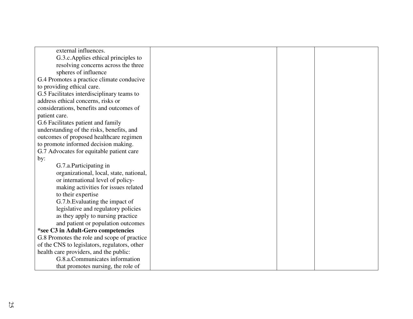| external influences.                         |  |  |
|----------------------------------------------|--|--|
| G.3.c. Applies ethical principles to         |  |  |
| resolving concerns across the three          |  |  |
| spheres of influence                         |  |  |
| G.4 Promotes a practice climate conducive    |  |  |
| to providing ethical care.                   |  |  |
| G.5 Facilitates interdisciplinary teams to   |  |  |
| address ethical concerns, risks or           |  |  |
| considerations, benefits and outcomes of     |  |  |
| patient care.                                |  |  |
| G.6 Facilitates patient and family           |  |  |
| understanding of the risks, benefits, and    |  |  |
| outcomes of proposed healthcare regimen      |  |  |
| to promote informed decision making.         |  |  |
| G.7 Advocates for equitable patient care     |  |  |
| by:                                          |  |  |
| G.7.a.Participating in                       |  |  |
| organizational, local, state, national,      |  |  |
| or international level of policy-            |  |  |
| making activities for issues related         |  |  |
| to their expertise                           |  |  |
| G.7.b. Evaluating the impact of              |  |  |
| legislative and regulatory policies          |  |  |
| as they apply to nursing practice            |  |  |
| and patient or population outcomes           |  |  |
| *see C3 in Adult-Gero competencies           |  |  |
| G.8 Promotes the role and scope of practice  |  |  |
| of the CNS to legislators, regulators, other |  |  |
| health care providers, and the public:       |  |  |
| G.8.a.Communicates information               |  |  |
| that promotes nursing, the role of           |  |  |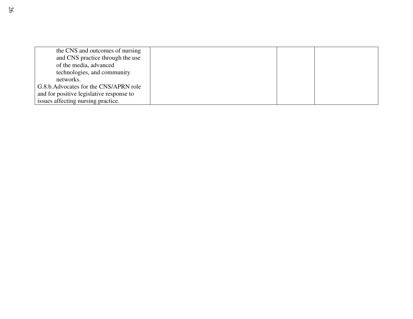| the CNS and outcomes of nursing          |  |  |
|------------------------------------------|--|--|
| and CNS practice through the use         |  |  |
| of the media, advanced                   |  |  |
| technologies, and community              |  |  |
| networks.                                |  |  |
| G.8.b. Advocates for the CNS/APRN role   |  |  |
| and for positive legislative response to |  |  |
| issues affecting nursing practice.       |  |  |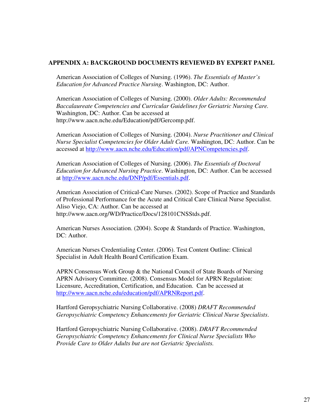#### **APPENDIX A: BACKGROUND DOCUMENTS REVIEWED BY EXPERT PANEL**

American Association of Colleges of Nursing. (1996). *The Essentials of Master's Education for Advanced Practice Nursing*. Washington, DC: Author.

American Association of Colleges of Nursing. (2000). *Older Adults: Recommended Baccalaureate Competencies and Curricular Guidelines for Geriatric Nursing Care.* Washington, DC: Author. Can be accessed at http://www.aacn.nche.edu/Education/pdf/Gercomp.pdf.

American Association of Colleges of Nursing. (2004). *Nurse Practitioner and Clinical Nurse Specialist Competencies for Older Adult Care.* Washington, DC: Author. Can be accessed at http://www.aacn.nche.edu/Education/pdf/APNCompetencies.pdf.

American Association of Colleges of Nursing. (2006). *The Essentials of Doctoral Education for Advanced Nursing Practice*. Washington, DC: Author. Can be accessed at http://www.aacn.nche.edu/DNP/pdf/Essentials.pdf.

American Association of Critical-Care Nurses. (2002). Scope of Practice and Standards of Professional Performance for the Acute and Critical Care Clinical Nurse Specialist. Aliso Viejo, CA: Author. Can be accessed at http://www.aacn.org/WD/Practice/Docs/128101CNSStds.pdf.

American Nurses Association. (2004). Scope & Standards of Practice. Washington, DC: Author.

American Nurses Credentialing Center. (2006). Test Content Outline: Clinical Specialist in Adult Health Board Certification Exam.

APRN Consensus Work Group & the National Council of State Boards of Nursing APRN Advisory Committee. (2008). Consensus Model for APRN Regulation: Licensure, Accreditation, Certification, and Education. Can be accessed at http://www.aacn.nche.edu/education/pdf/APRNReport.pdf.

Hartford Geropsychiatric Nursing Collaborative. (2008) *DRAFT Recommended Geropsychiatric Competency Enhancements for Geriatric Clinical Nurse Specialists*.

Hartford Geropsychiatric Nursing Collaborative. (2008). *DRAFT Recommended Geropsychiatric Competency Enhancements for Clinical Nurse Specialists Who Provide Care to Older Adults but are not Geriatric Specialists.*